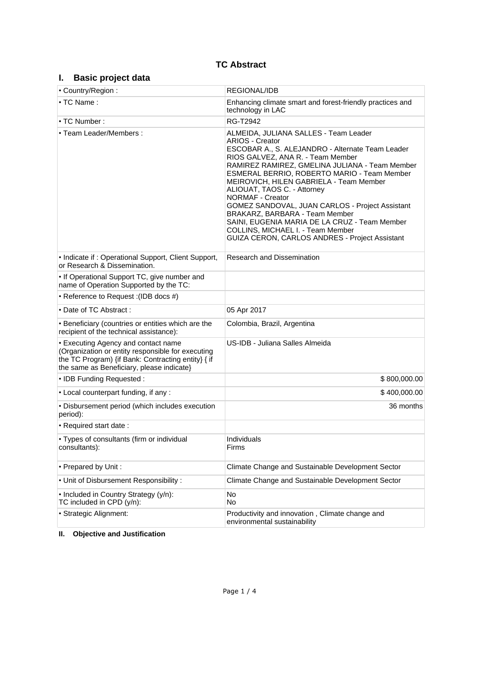# **TC Abstract**

# **I. Basic project data**

| • Country/Region:                                                                                                                                                                           | <b>REGIONAL/IDB</b>                                                                                                                                                                                                                                                                                                                                                                                                                                                                                                                                                                                |  |  |
|---------------------------------------------------------------------------------------------------------------------------------------------------------------------------------------------|----------------------------------------------------------------------------------------------------------------------------------------------------------------------------------------------------------------------------------------------------------------------------------------------------------------------------------------------------------------------------------------------------------------------------------------------------------------------------------------------------------------------------------------------------------------------------------------------------|--|--|
| $\cdot$ TC Name:                                                                                                                                                                            | Enhancing climate smart and forest-friendly practices and<br>technology in LAC                                                                                                                                                                                                                                                                                                                                                                                                                                                                                                                     |  |  |
| $\cdot$ TC Number :                                                                                                                                                                         | RG-T2942                                                                                                                                                                                                                                                                                                                                                                                                                                                                                                                                                                                           |  |  |
| • Team Leader/Members:                                                                                                                                                                      | ALMEIDA, JULIANA SALLES - Team Leader<br><b>ARIOS - Creator</b><br>ESCOBAR A., S. ALEJANDRO - Alternate Team Leader<br>RIOS GALVEZ, ANA R. - Team Member<br>RAMIREZ RAMIREZ, GMELINA JULIANA - Team Member<br>ESMERAL BERRIO, ROBERTO MARIO - Team Member<br>MEIROVICH, HILEN GABRIELA - Team Member<br>ALIOUAT, TAOS C. - Attorney<br><b>NORMAF - Creator</b><br>GOMEZ SANDOVAL, JUAN CARLOS - Project Assistant<br>BRAKARZ, BARBARA - Team Member<br>SAINI, EUGENIA MARIA DE LA CRUZ - Team Member<br>COLLINS, MICHAEL I. - Team Member<br><b>GUIZA CERON, CARLOS ANDRES - Project Assistant</b> |  |  |
| • Indicate if : Operational Support, Client Support,<br>or Research & Dissemination.                                                                                                        | <b>Research and Dissemination</b>                                                                                                                                                                                                                                                                                                                                                                                                                                                                                                                                                                  |  |  |
| • If Operational Support TC, give number and<br>name of Operation Supported by the TC:                                                                                                      |                                                                                                                                                                                                                                                                                                                                                                                                                                                                                                                                                                                                    |  |  |
| • Reference to Request : (IDB docs #)                                                                                                                                                       |                                                                                                                                                                                                                                                                                                                                                                                                                                                                                                                                                                                                    |  |  |
| • Date of TC Abstract:                                                                                                                                                                      | 05 Apr 2017                                                                                                                                                                                                                                                                                                                                                                                                                                                                                                                                                                                        |  |  |
| • Beneficiary (countries or entities which are the<br>recipient of the technical assistance):                                                                                               | Colombia, Brazil, Argentina                                                                                                                                                                                                                                                                                                                                                                                                                                                                                                                                                                        |  |  |
| • Executing Agency and contact name<br>(Organization or entity responsible for executing<br>the TC Program) {if Bank: Contracting entity} { if<br>the same as Beneficiary, please indicate} | US-IDB - Juliana Salles Almeida                                                                                                                                                                                                                                                                                                                                                                                                                                                                                                                                                                    |  |  |
| • IDB Funding Requested:                                                                                                                                                                    | \$800,000.00                                                                                                                                                                                                                                                                                                                                                                                                                                                                                                                                                                                       |  |  |
| . Local counterpart funding, if any:                                                                                                                                                        | \$400,000.00                                                                                                                                                                                                                                                                                                                                                                                                                                                                                                                                                                                       |  |  |
| • Disbursement period (which includes execution<br>period):                                                                                                                                 | 36 months                                                                                                                                                                                                                                                                                                                                                                                                                                                                                                                                                                                          |  |  |
| • Required start date:                                                                                                                                                                      |                                                                                                                                                                                                                                                                                                                                                                                                                                                                                                                                                                                                    |  |  |
| • Types of consultants (firm or individual<br>consultants):                                                                                                                                 | Individuals<br>Firms                                                                                                                                                                                                                                                                                                                                                                                                                                                                                                                                                                               |  |  |
| • Prepared by Unit:                                                                                                                                                                         | Climate Change and Sustainable Development Sector                                                                                                                                                                                                                                                                                                                                                                                                                                                                                                                                                  |  |  |
| . Unit of Disbursement Responsibility:                                                                                                                                                      | Climate Change and Sustainable Development Sector                                                                                                                                                                                                                                                                                                                                                                                                                                                                                                                                                  |  |  |
| • Included in Country Strategy (y/n):<br>TC included in CPD (y/n):                                                                                                                          | No<br>No                                                                                                                                                                                                                                                                                                                                                                                                                                                                                                                                                                                           |  |  |
| · Strategic Alignment:                                                                                                                                                                      | Productivity and innovation, Climate change and<br>environmental sustainability                                                                                                                                                                                                                                                                                                                                                                                                                                                                                                                    |  |  |

# **II. Objective and Justification**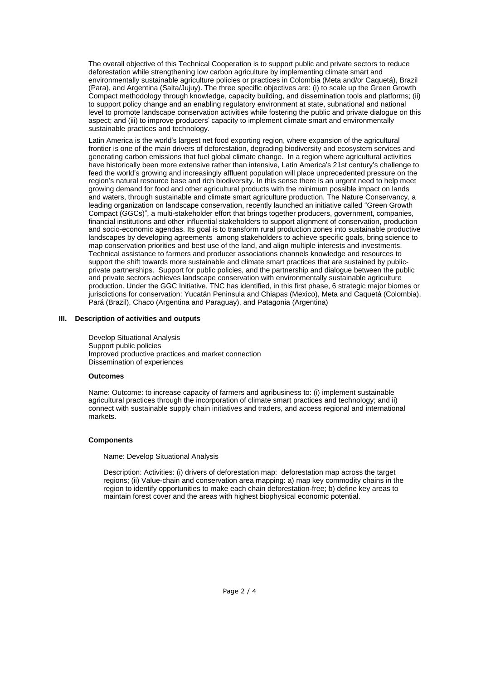The overall objective of this Technical Cooperation is to support public and private sectors to reduce deforestation while strengthening low carbon agriculture by implementing climate smart and environmentally sustainable agriculture policies or practices in Colombia (Meta and/or Caquetá), Brazil (Para), and Argentina (Salta/Jujuy). The three specific objectives are: (i) to scale up the Green Growth Compact methodology through knowledge, capacity building, and dissemination tools and platforms; (ii) to support policy change and an enabling regulatory environment at state, subnational and national level to promote landscape conservation activities while fostering the public and private dialogue on this aspect; and (iii) to improve producers' capacity to implement climate smart and environmentally sustainable practices and technology.

Latin America is the world's largest net food exporting region, where expansion of the agricultural frontier is one of the main drivers of deforestation, degrading biodiversity and ecosystem services and generating carbon emissions that fuel global climate change. In a region where agricultural activities have historically been more extensive rather than intensive, Latin America's 21st century's challenge to feed the world's growing and increasingly affluent population will place unprecedented pressure on the region's natural resource base and rich biodiversity. In this sense there is an urgent need to help meet growing demand for food and other agricultural products with the minimum possible impact on lands and waters, through sustainable and climate smart agriculture production. The Nature Conservancy, a leading organization on landscape conservation, recently launched an initiative called "Green Growth Compact (GGCs)´a multi-stakeholder effort that brings together producers, government, companies, financial institutions and other influential stakeholders to support alignment of conservation, production and socio-economic agendas. Its goal is to transform rural production zones into sustainable productive landscapes by developing agreements among stakeholders to achieve specific goals, bring science to map conservation priorities and best use of the land, and align multiple interests and investments. Technical assistance to farmers and producer associations channels knowledge and resources to support the shift towards more sustainable and climate smart practices that are sustained by publicprivate partnerships. Support for public policies, and the partnership and dialogue between the public and private sectors achieves landscape conservation with environmentally sustainable agriculture production. Under the GGC Initiative, TNC has identified, in this first phase, 6 strategic major biomes or jurisdictions for conservation: Yucatán Peninsula and Chiapas (Mexico), Meta and Caquetá (Colombia), Pará (Brazil), Chaco (Argentina and Paraguay), and Patagonia (Argentina)

#### **III. Description of activities and outputs**

Develop Situational Analysis Support public policies Improved productive practices and market connection Dissemination of experiences

#### **Outcomes**

Name: Outcome: to increase capacity of farmers and agribusiness to: (i) implement sustainable agricultural practices through the incorporation of climate smart practices and technology; and ii) connect with sustainable supply chain initiatives and traders, and access regional and international markets.

#### **Components**

Name: Develop Situational Analysis

Description: Activities: (i) drivers of deforestation map: deforestation map across the target regions; (ii) Value-chain and conservation area mapping: a) map key commodity chains in the region to identify opportunities to make each chain deforestation-free; b) define key areas to maintain forest cover and the areas with highest biophysical economic potential.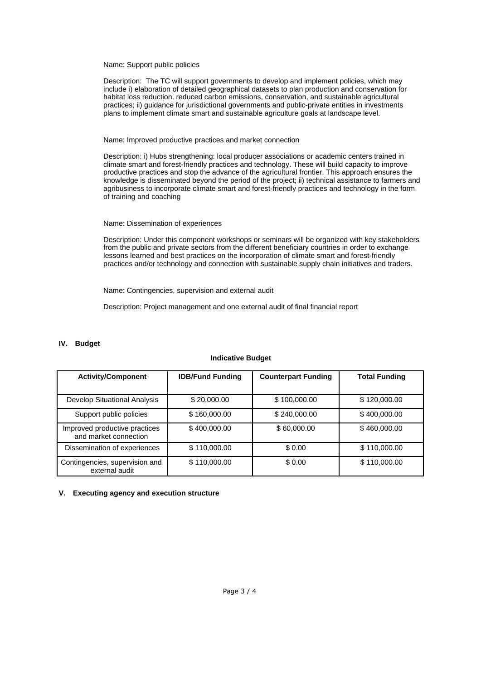Name: Support public policies

Description: The TC will support governments to develop and implement policies, which may include i) elaboration of detailed geographical datasets to plan production and conservation for habitat loss reduction, reduced carbon emissions, conservation, and sustainable agricultural practices; ii) guidance for jurisdictional governments and public-private entities in investments plans to implement climate smart and sustainable agriculture goals at landscape level.

Name: Improved productive practices and market connection

Description: i) Hubs strengthening: local producer associations or academic centers trained in climate smart and forest-friendly practices and technology. These will build capacity to improve productive practices and stop the advance of the agricultural frontier. This approach ensures the knowledge is disseminated beyond the period of the project; ii) technical assistance to farmers and agribusiness to incorporate climate smart and forest-friendly practices and technology in the form of training and coaching

Name: Dissemination of experiences

Description: Under this component workshops or seminars will be organized with key stakeholders from the public and private sectors from the different beneficiary countries in order to exchange lessons learned and best practices on the incorporation of climate smart and forest-friendly practices and/or technology and connection with sustainable supply chain initiatives and traders.

Name: Contingencies, supervision and external audit

Description: Project management and one external audit of final financial report

#### **IV. Budget**

| <b>Activity/Component</b>                              | <b>IDB/Fund Funding</b> | <b>Counterpart Funding</b> | <b>Total Funding</b> |
|--------------------------------------------------------|-------------------------|----------------------------|----------------------|
| Develop Situational Analysis                           | \$20,000.00             | \$100,000.00               | \$120,000.00         |
| Support public policies                                | \$160,000.00            | \$240,000.00               | \$400,000.00         |
| Improved productive practices<br>and market connection | \$400,000.00            | \$60,000.00                | \$460,000.00         |
| Dissemination of experiences                           | \$110,000.00            | \$0.00                     | \$110,000.00         |
| Contingencies, supervision and<br>external audit       | \$110,000.00            | \$0.00                     | \$110,000.00         |

## **Indicative Budget**

#### **V. Executing agency and execution structure**